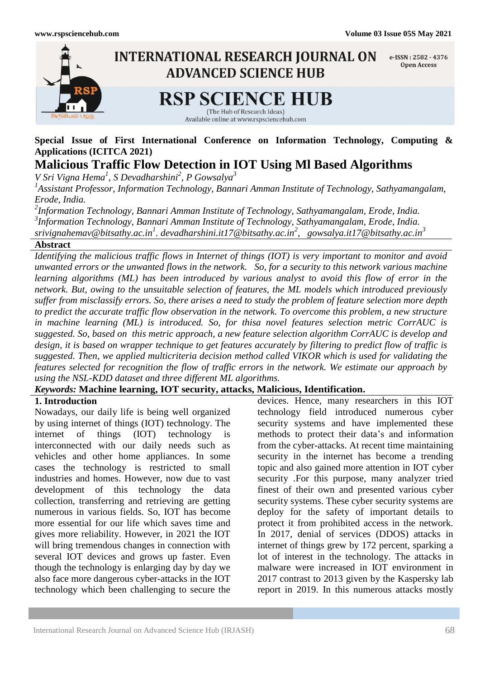

## **Special Issue of First International Conference on Information Technology, Computing & Applications (ICITCA 2021)**

# **Malicious Traffic Flow Detection in IOT Using Ml Based Algorithms**

*V Sri Vigna Hema<sup>1</sup> , S Devadharshini<sup>2</sup> , P Gowsalya<sup>3</sup>*

*1 Assistant Professor, Information Technology, Bannari Amman Institute of Technology, Sathyamangalam, Erode, India.*

*2 Information Technology, Bannari Amman Institute of Technology, Sathyamangalam, Erode, India. 3 Information Technology, Bannari Amman Institute of Technology, Sathyamangalam, Erode, India. srivignahemav@bitsathy.ac.in<sup>1</sup> . devadharshini.it17@bitsathy.ac.in<sup>2</sup> , gowsalya.it17@bitsathy.ac.in<sup>3</sup>*

### **Abstract**

*Identifying the malicious traffic flows in Internet of things (IOT) is very important to monitor and avoid unwanted errors or the unwanted flows in the network. So, for a security to this network various machine learning algorithms (ML) has been introduced by various analyst to avoid this flow of error in the network. But, owing to the unsuitable selection of features, the ML models which introduced previously suffer from misclassify errors. So, there arises a need to study the problem of feature selection more depth to predict the accurate traffic flow observation in the network. To overcome this problem, a new structure in machine learning (ML) is introduced. So, for thisa novel features selection metric CorrAUC is suggested. So, based on this metric approach, a new feature selection algorithm CorrAUC is develop and design, it is based on wrapper technique to get features accurately by filtering to predict flow of traffic is suggested. Then, we applied multicriteria decision method called VIKOR which is used for validating the features selected for recognition the flow of traffic errors in the network. We estimate our approach by using the NSL-KDD dataset and three different ML algorithms.*

## *Keywords:* **Machine learning, IOT security, attacks, Malicious, Identification.**

## **1. Introduction**

Nowadays, our daily life is being well organized by using internet of things (IOT) technology. The internet of things (IOT) technology is interconnected with our daily needs such as vehicles and other home appliances. In some cases the technology is restricted to small industries and homes. However, now due to vast development of this technology the data collection, transferring and retrieving are getting numerous in various fields. So, IOT has become more essential for our life which saves time and gives more reliability. However, in 2021 the IOT will bring tremendous changes in connection with several IOT devices and grows up faster. Even though the technology is enlarging day by day we also face more dangerous cyber-attacks in the IOT technology which been challenging to secure the

devices. Hence, many researchers in this IOT technology field introduced numerous cyber security systems and have implemented these methods to protect their data's and information from the cyber-attacks. At recent time maintaining security in the internet has become a trending topic and also gained more attention in IOT cyber security .For this purpose, many analyzer tried finest of their own and presented various cyber security systems. These cyber security systems are deploy for the safety of important details to protect it from prohibited access in the network. In 2017, denial of services (DDOS) attacks in internet of things grew by 172 percent, sparking a lot of interest in the technology. The attacks in malware were increased in IOT environment in 2017 contrast to 2013 given by the Kaspersky lab report in 2019. In this numerous attacks mostly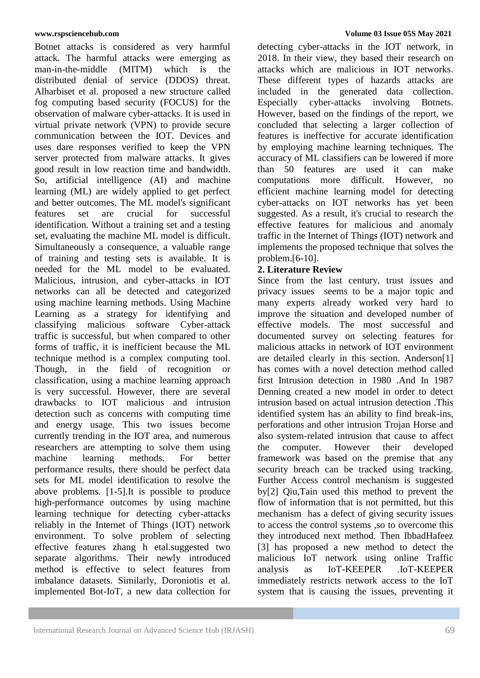Botnet attacks is considered as very harmful attack. The harmful attacks were emerging as man-in-the-middle (MITM) which is the distributed denial of service (DDOS) threat. Alharbiset et al. proposed a new structure called fog computing based security (FOCUS) for the observation of malware cyber-attacks. It is used in virtual private network (VPN) to provide secure communication between the IOT. Devices and uses dare responses verified to keep the VPN server protected from malware attacks. It gives good result in low reaction time and bandwidth. So, artificial intelligence (AI) and machine learning (ML) are widely applied to get perfect and better outcomes. The ML model's significant features set are crucial for successful identification. Without a training set and a testing set, evaluating the machine ML model is difficult. Simultaneously a consequence, a valuable range of training and testing sets is available. It is needed for the ML model to be evaluated. Malicious, intrusion, and cyber-attacks in IOT networks can all be detected and categorized using machine learning methods. Using Machine Learning as a strategy for identifying and classifying malicious software Cyber-attack traffic is successful, but when compared to other forms of traffic, it is inefficient because the ML technique method is a complex computing tool. Though, in the field of recognition or classification, using a machine learning approach is very successful. However, there are several drawbacks to IOT malicious and intrusion detection such as concerns with computing time and energy usage. This two issues become currently trending in the IOT area, and numerous researchers are attempting to solve them using machine learning methods. For better performance results, there should be perfect data sets for ML model identification to resolve the above problems. [1-5].It is possible to produce high-performance outcomes by using machine learning technique for detecting cyber-attacks reliably in the Internet of Things (IOT) network environment. To solve problem of selecting effective features zhang h etal.suggested two separate algorithms. Their newly introduced method is effective to select features from imbalance datasets. Similarly, Doroniotis et al. implemented Bot-IoT, a new data collection for

detecting cyber-attacks in the IOT network, in 2018. In their view, they based their research on attacks which are malicious in IOT networks. These different types of hazards attacks are included in the generated data collection. Especially cyber-attacks involving Botnets. However, based on the findings of the report, we concluded that selecting a larger collection of features is ineffective for accurate identification by employing machine learning techniques. The accuracy of ML classifiers can be lowered if more than 50 features are used it can make computations more difficult. However, no efficient machine learning model for detecting cyber-attacks on IOT networks has yet been suggested. As a result, it's crucial to research the effective features for malicious and anomaly traffic in the Internet of Things (IOT) network and implements the proposed technique that solves the problem.[6-10].

## **2. Literature Review**

Since from the last century, trust issues and privacy issues seems to be a major topic and many experts already worked very hard to improve the situation and developed number of effective models. The most successful and documented survey on selecting features for malicious attacks in network of IOT environment are detailed clearly in this section. Anderson[1] has comes with a novel detection method called first Intrusion detection in 1980 .And In 1987 Denning created a new model in order to detect intrusion based on actual intrusion detection .This identified system has an ability to find break-ins, perforations and other intrusion Trojan Horse and also system-related intrusion that cause to affect the computer. However their developed framework was based on the premise that any security breach can be tracked using tracking. Further Access control mechanism is suggested by[2] Qiu,Tain used this method to prevent the flow of information that is not permitted, but this mechanism has a defect of giving security issues to access the control systems ,so to overcome this they introduced next method. Then IbbadHafeez [3] has proposed a new method to detect the malicious IoT network using online Traffic analysis as IoT-KEEPER .IoT-KEEPER immediately restricts network access to the IoT system that is causing the issues, preventing it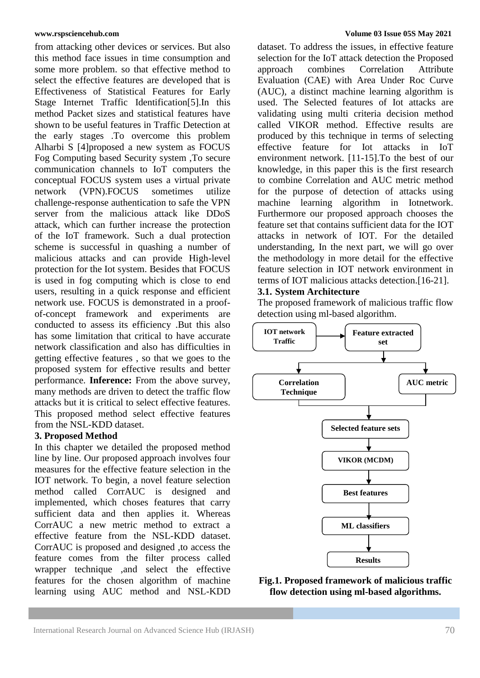from attacking other devices or services. But also this method face issues in time consumption and some more problem. so that effective method to select the effective features are developed that is Effectiveness of Statistical Features for Early Stage Internet Traffic Identification[5].In this method Packet sizes and statistical features have shown to be useful features in Traffic Detection at the early stages .To overcome this problem Alharbi S [4]proposed a new system as FOCUS Fog Computing based Security system ,To secure communication channels to IoT computers the conceptual FOCUS system uses a virtual private network (VPN).FOCUS sometimes utilize challenge-response authentication to safe the VPN server from the malicious attack like DDoS attack, which can further increase the protection of the IoT framework. Such a dual protection scheme is successful in quashing a number of malicious attacks and can provide High-level protection for the Iot system. Besides that FOCUS is used in fog computing which is close to end users, resulting in a quick response and efficient network use. FOCUS is demonstrated in a proofof-concept framework and experiments are conducted to assess its efficiency .But this also has some limitation that critical to have accurate network classification and also has difficulties in getting effective features , so that we goes to the proposed system for effective results and better performance. **Inference:** From the above survey, many methods are driven to detect the traffic flow attacks but it is critical to select effective features. This proposed method select effective features from the NSL-KDD dataset.

## **3. Proposed Method**

In this chapter we detailed the proposed method line by line. Our proposed approach involves four measures for the effective feature selection in the IOT network. To begin, a novel feature selection method called CorrAUC is designed and implemented, which choses features that carry sufficient data and then applies it. Whereas CorrAUC a new metric method to extract a effective feature from the NSL-KDD dataset. CorrAUC is proposed and designed ,to access the feature comes from the filter process called wrapper technique ,and select the effective features for the chosen algorithm of machine learning using AUC method and NSL-KDD

#### **www.rspsciencehub.com Volume 03 Issue 05S May 2021**

dataset. To address the issues, in effective feature selection for the IoT attack detection the Proposed approach combines Correlation Attribute Evaluation (CAE) with Area Under Roc Curve (AUC), a distinct machine learning algorithm is used. The Selected features of Iot attacks are validating using multi criteria decision method called VIKOR method. Effective results are produced by this technique in terms of selecting effective feature for Iot attacks in IoT environment network. [11-15].To the best of our knowledge, in this paper this is the first research to combine Correlation and AUC metric method for the purpose of detection of attacks using machine learning algorithm in Iotnetwork. Furthermore our proposed approach chooses the feature set that contains sufficient data for the IOT attacks in network of IOT. For the detailed understanding, In the next part, we will go over the methodology in more detail for the effective feature selection in IOT network environment in terms of IOT malicious attacks detection.[16-21].

### **3.1. System Architecture**

The proposed framework of malicious traffic flow detection using ml-based algorithm.



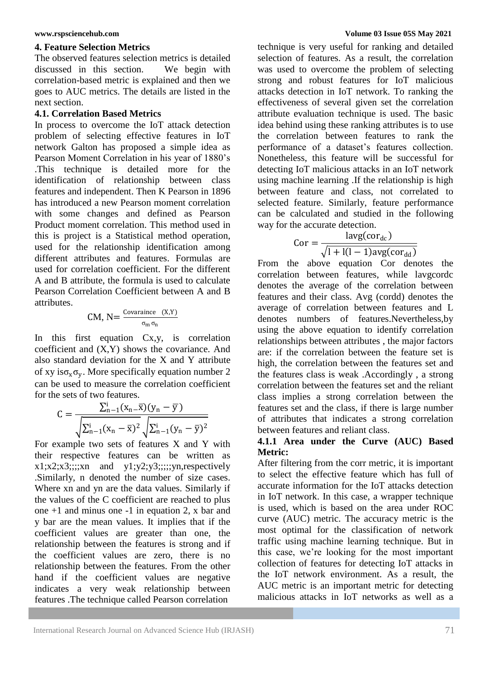### **4. Feature Selection Metrics**

The observed features selection metrics is detailed discussed in this section. We begin with correlation-based metric is explained and then we goes to AUC metrics. The details are listed in the next section.

## **4.1. Correlation Based Metrics**

In process to overcome the IoT attack detection problem of selecting effective features in IoT network Galton has proposed a simple idea as Pearson Moment Correlation in his year of 1880's .This technique is detailed more for the identification of relationship between class features and independent. Then K Pearson in 1896 has introduced a new Pearson moment correlation with some changes and defined as Pearson Product moment correlation. This method used in this is project is a Statistical method operation, used for the relationship identification among different attributes and features. Formulas are used for correlation coefficient. For the different A and B attribute, the formula is used to calculate Pearson Correlation Coefficient between A and B attributes.

$$
CM, N = \frac{Covariance (X,Y)}{\sigma_m \sigma_n}
$$

In this first equation Cx,y, is correlation coefficient and (X,Y) shows the covariance. And also standard deviation for the X and Y attribute of xy is $\sigma_x \sigma_y$ . More specifically equation number 2 can be used to measure the correlation coefficient for the sets of two features.

$$
C = \frac{\sum_{n=1}^{i} (x_n - \bar{x})(y_n - \bar{y})}{\sqrt{\sum_{n=1}^{i} (x_n - \bar{x})^2} \sqrt{\sum_{n=1}^{i} (y_n - \bar{y})^2}}
$$

For example two sets of features X and Y with their respective features can be written as  $x1; x2; x3;$ ;;; $xn$  and  $y1; y2; y3;$ ;;;;;yn, respectively .Similarly, n denoted the number of size cases. Where xn and yn are the data values. Similarly if the values of the C coefficient are reached to plus one +1 and minus one -1 in equation 2, x bar and y bar are the mean values. It implies that if the coefficient values are greater than one, the relationship between the features is strong and if the coefficient values are zero, there is no relationship between the features. From the other hand if the coefficient values are negative indicates a very weak relationship between features .The technique called Pearson correlation

technique is very useful for ranking and detailed selection of features. As a result, the correlation was used to overcome the problem of selecting strong and robust features for IoT malicious attacks detection in IoT network. To ranking the effectiveness of several given set the correlation attribute evaluation technique is used. The basic idea behind using these ranking attributes is to use the correlation between features to rank the performance of a dataset's features collection. Nonetheless, this feature will be successful for detecting IoT malicious attacks in an IoT network using machine learning .If the relationship is high between feature and class, not correlated to selected feature. Similarly, feature performance can be calculated and studied in the following way for the accurate detection.

$$
Cor = \frac{layercor_{dc})}{\sqrt{1 + 1(1 - 1)avg(cor_{dd})}}
$$

From the above equation Cor denotes the correlation between features, while lavgcordc denotes the average of the correlation between features and their class. Avg (cordd) denotes the average of correlation between features and L denotes numbers of features.Nevertheless,by using the above equation to identify correlation relationships between attributes , the major factors are: if the correlation between the feature set is high, the correlation between the features set and the features class is weak .Accordingly , a strong correlation between the features set and the reliant class implies a strong correlation between the features set and the class, if there is large number of attributes that indicates a strong correlation between features and reliant class.

## **4.1.1 Area under the Curve (AUC) Based Metric:**

After filtering from the corr metric, it is important to select the effective feature which has full of accurate information for the IoT attacks detection in IoT network. In this case, a wrapper technique is used, which is based on the area under ROC curve (AUC) metric. The accuracy metric is the most optimal for the classification of network traffic using machine learning technique. But in this case, we're looking for the most important collection of features for detecting IoT attacks in the IoT network environment. As a result, the AUC metric is an important metric for detecting malicious attacks in IoT networks as well as a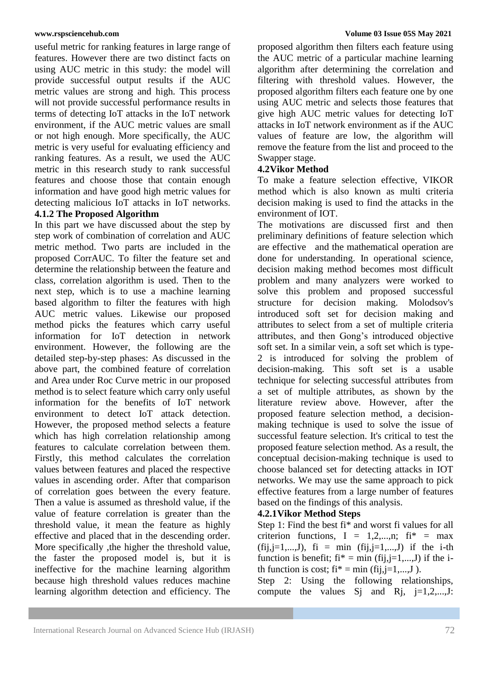useful metric for ranking features in large range of features. However there are two distinct facts on using AUC metric in this study: the model will provide successful output results if the AUC metric values are strong and high. This process will not provide successful performance results in terms of detecting IoT attacks in the IoT network environment, if the AUC metric values are small or not high enough. More specifically, the AUC metric is very useful for evaluating efficiency and ranking features. As a result, we used the AUC metric in this research study to rank successful features and choose those that contain enough information and have good high metric values for detecting malicious IoT attacks in IoT networks.

## **4.1.2 The Proposed Algorithm**

In this part we have discussed about the step by step work of combination of correlation and AUC metric method. Two parts are included in the proposed CorrAUC. To filter the feature set and determine the relationship between the feature and class, correlation algorithm is used. Then to the next step, which is to use a machine learning based algorithm to filter the features with high AUC metric values. Likewise our proposed method picks the features which carry useful information for IoT detection in network environment. However, the following are the detailed step-by-step phases: As discussed in the above part, the combined feature of correlation and Area under Roc Curve metric in our proposed method is to select feature which carry only useful information for the benefits of IoT network environment to detect IoT attack detection. However, the proposed method selects a feature which has high correlation relationship among features to calculate correlation between them. Firstly, this method calculates the correlation values between features and placed the respective values in ascending order. After that comparison of correlation goes between the every feature. Then a value is assumed as threshold value, if the value of feature correlation is greater than the threshold value, it mean the feature as highly effective and placed that in the descending order. More specifically ,the higher the threshold value, the faster the proposed model is, but it is ineffective for the machine learning algorithm because high threshold values reduces machine learning algorithm detection and efficiency. The

proposed algorithm then filters each feature using the AUC metric of a particular machine learning algorithm after determining the correlation and filtering with threshold values. However, the proposed algorithm filters each feature one by one using AUC metric and selects those features that give high AUC metric values for detecting IoT attacks in IoT network environment as if the AUC values of feature are low, the algorithm will remove the feature from the list and proceed to the Swapper stage.

## **4.2Vikor Method**

To make a feature selection effective, VIKOR method which is also known as multi criteria decision making is used to find the attacks in the environment of IOT.

The motivations are discussed first and then preliminary definitions of feature selection which are effective and the mathematical operation are done for understanding. In operational science, decision making method becomes most difficult problem and many analyzers were worked to solve this problem and proposed successful structure for decision making. Molodsov's introduced soft set for decision making and attributes to select from a set of multiple criteria attributes, and then Gong's introduced objective soft set. In a similar vein, a soft set which is type-2 is introduced for solving the problem of decision-making. This soft set is a usable technique for selecting successful attributes from a set of multiple attributes, as shown by the literature review above. However, after the proposed feature selection method, a decisionmaking technique is used to solve the issue of successful feature selection. It's critical to test the proposed feature selection method. As a result, the conceptual decision-making technique is used to choose balanced set for detecting attacks in IOT networks. We may use the same approach to pick effective features from a large number of features based on the findings of this analysis.

## **4.2.1Vikor Method Steps**

Step 1: Find the best fi\* and worst fi values for all criterion functions,  $I = 1,2,...,n$ ;  $fi^* = max$  $(fij, j=1,...,J)$ ,  $fi = \min(fij, j=1,...,J)$  if the i-th function is benefit;  $fi^* = min (fij, j=1,...,J)$  if the ith function is cost;  $fi^* = min (fij, j=1,...,J)$ .

Step 2: Using the following relationships, compute the values S<sub>j</sub> and R<sub>j</sub>,  $j=1,2,...,J$ :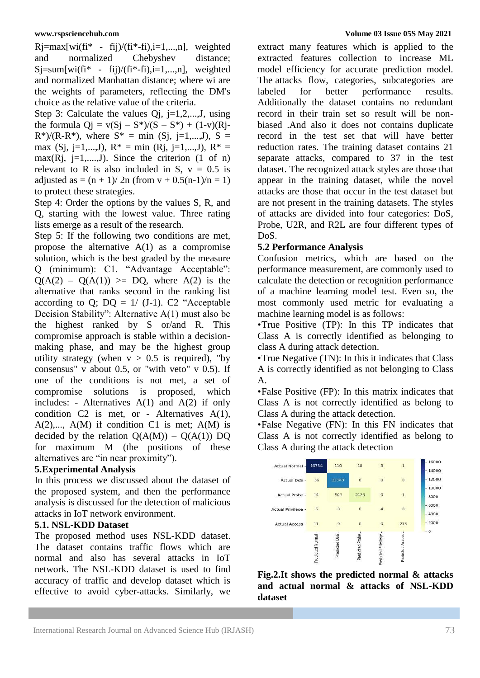$Rj = max[wi(fi* - fij)/(fi* - fi), i = 1,...,n],$  weighted<br>and normalized Chebyshev distance: and normalized Chebyshev distance;  $Sj=sum[wi(fi*-fij)/(fi*-fij),i=1,...,n],$  weighted and normalized Manhattan distance; where wi are the weights of parameters, reflecting the DM's choice as the relative value of the criteria.

Step 3: Calculate the values Qj, j=1,2,...,J, using the formula  $Qj = v(Sj - S^*)/(S - S^*) + (1-v)(Rj R^*$ /(R-R<sup>\*</sup>), where  $S^* = \min$  (Sj, j=1,...,J), S = max (Sj, j=1,...,J),  $R^* = \min (Rj, j=1,...,J)$ ,  $R^* =$ max(Rj, j=1,....,J). Since the criterion  $(1 \text{ of } n)$ relevant to R is also included in S,  $v = 0.5$  is adjusted as =  $(n + 1)/2n$  (from v + 0.5(n-1)/n = 1) to protect these strategies.

Step 4: Order the options by the values S, R, and Q, starting with the lowest value. Three rating lists emerge as a result of the research.

Step 5: If the following two conditions are met, propose the alternative  $A(1)$  as a compromise solution, which is the best graded by the measure Q (minimum): C1. "Advantage Acceptable":  $Q(A(2) - Q(A(1)) \geq DQ$ , where  $A(2)$  is the alternative that ranks second in the ranking list according to Q;  $DQ = 1/(J-1)$ . C2 "Acceptable Decision Stability": Alternative A(1) must also be the highest ranked by S or/and R. This compromise approach is stable within a decisionmaking phase, and may be the highest group utility strategy (when  $v > 0.5$  is required), "by consensus" v about 0.5, or "with veto" v 0.5). If one of the conditions is not met, a set of compromise solutions is proposed, which includes: - Alternatives A(1) and A(2) if only condition C2 is met, or - Alternatives A(1),  $A(2),..., A(M)$  if condition C1 is met;  $A(M)$  is decided by the relation  $Q(A(M)) - Q(A(1))$  DQ for maximum M (the positions of these alternatives are "in near proximity").

## **5.Experimental Analysis**

In this process we discussed about the dataset of the proposed system, and then the performance analysis is discussed for the detection of malicious attacks in IoT network environment.

## **5.1. NSL-KDD Dataset**

The proposed method uses NSL-KDD dataset. The dataset contains traffic flows which are normal and also has several attacks in IoT network. The NSL-KDD dataset is used to find accuracy of traffic and develop dataset which is effective to avoid cyber-attacks. Similarly, we

#### **www.rspsciencehub.com Volume 03 Issue 05S May 2021**

extract many features which is applied to the extracted features collection to increase ML model efficiency for accurate prediction model. The attacks flow, categories, subcategories are labeled for better performance results. Additionally the dataset contains no redundant record in their train set so result will be nonbiased .And also it does not contains duplicate record in the test set that will have better reduction rates. The training dataset contains 21 separate attacks, compared to 37 in the test dataset. The recognized attack styles are those that appear in the training dataset, while the novel attacks are those that occur in the test dataset but are not present in the training datasets. The styles of attacks are divided into four categories: DoS, Probe, U2R, and R2L are four different types of DoS.

## **5.2 Performance Analysis**

Confusion metrics, which are based on the performance measurement, are commonly used to calculate the detection or recognition performance of a machine learning model test. Even so, the most commonly used metric for evaluating a machine learning model is as follows:

•True Positive (TP): In this TP indicates that Class A is correctly identified as belonging to class A during attack detection.

•True Negative (TN): In this it indicates that Class A is correctly identified as not belonging to Class A.

•False Positive (FP): In this matrix indicates that Class A is not correctly identified as belong to Class A during the attack detection.

•False Negative (FN): In this FN indicates that Class A is not correctly identified as belong to Class A during the attack detection



**Fig.2.It shows the predicted normal & attacks and actual normal & attacks of NSL-KDD dataset**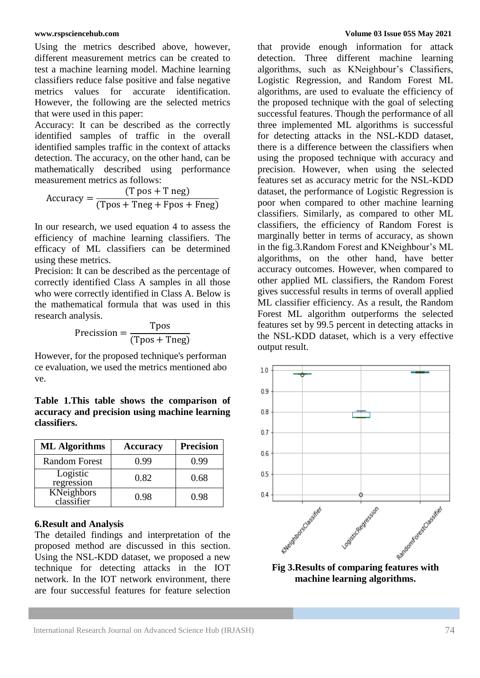Using the metrics described above, however, different measurement metrics can be created to test a machine learning model. Machine learning classifiers reduce false positive and false negative metrics values for accurate identification. However, the following are the selected metrics that were used in this paper:

Accuracy: It can be described as the correctly identified samples of traffic in the overall identified samples traffic in the context of attacks detection. The accuracy, on the other hand, can be mathematically described using performance measurement metrics as follows:

Accuracy =  $(T pos + T neg)$  $(Tpos + Tneg + Fpos + Fneg)$ 

In our research, we used equation 4 to assess the efficiency of machine learning classifiers. The efficacy of ML classifiers can be determined using these metrics.

Precision: It can be described as the percentage of correctly identified Class A samples in all those who were correctly identified in Class A. Below is the mathematical formula that was used in this research analysis.

$$
Precision = \frac{Tpos}{(Tpos + Tneg)}
$$

However, for the proposed technique's performan ce evaluation, we used the metrics mentioned abo ve.

**Table 1.This table shows the comparison of accuracy and precision using machine learning classifiers.**

| <b>ML</b> Algorithms     | <b>Accuracy</b> | <b>Precision</b> |
|--------------------------|-----------------|------------------|
| <b>Random Forest</b>     | 0.99            | 0.99             |
| Logistic<br>regression   | 0.82            | 0.68             |
| KNeighbors<br>classifier | 0.98            | 0.98             |

## **6.Result and Analysis**

The detailed findings and interpretation of the proposed method are discussed in this section. Using the NSL-KDD dataset, we proposed a new technique for detecting attacks in the IOT network. In the IOT network environment, there are four successful features for feature selection

that provide enough information for attack detection. Three different machine learning algorithms, such as KNeighbour's Classifiers, Logistic Regression, and Random Forest ML algorithms, are used to evaluate the efficiency of the proposed technique with the goal of selecting successful features. Though the performance of all three implemented ML algorithms is successful for detecting attacks in the NSL-KDD dataset, there is a difference between the classifiers when using the proposed technique with accuracy and precision. However, when using the selected features set as accuracy metric for the NSL-KDD dataset, the performance of Logistic Regression is poor when compared to other machine learning classifiers. Similarly, as compared to other ML classifiers, the efficiency of Random Forest is marginally better in terms of accuracy, as shown in the fig.3.Random Forest and KNeighbour's ML algorithms, on the other hand, have better accuracy outcomes. However, when compared to other applied ML classifiers, the Random Forest gives successful results in terms of overall applied ML classifier efficiency. As a result, the Random Forest ML algorithm outperforms the selected features set by 99.5 percent in detecting attacks in the NSL-KDD dataset, which is a very effective output result.



**machine learning algorithms.**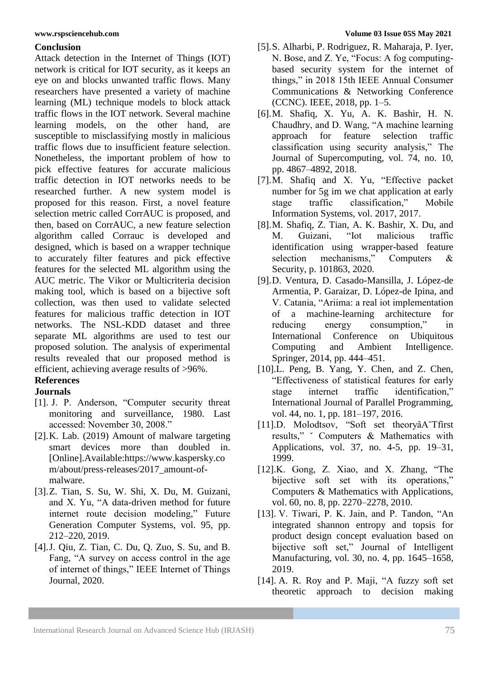## **Conclusion**

Attack detection in the Internet of Things (IOT) network is critical for IOT security, as it keeps an eye on and blocks unwanted traffic flows. Many researchers have presented a variety of machine learning (ML) technique models to block attack traffic flows in the IOT network. Several machine learning models, on the other hand, are susceptible to misclassifying mostly in malicious traffic flows due to insufficient feature selection. Nonetheless, the important problem of how to pick effective features for accurate malicious traffic detection in IOT networks needs to be researched further. A new system model is proposed for this reason. First, a novel feature selection metric called CorrAUC is proposed, and then, based on CorrAUC, a new feature selection algorithm called Corrauc is developed and designed, which is based on a wrapper technique to accurately filter features and pick effective features for the selected ML algorithm using the AUC metric. The Vikor or Multicriteria decision making tool, which is based on a bijective soft collection, was then used to validate selected features for malicious traffic detection in IOT networks. The NSL-KDD dataset and three separate ML algorithms are used to test our proposed solution. The analysis of experimental results revealed that our proposed method is efficient, achieving average results of >96%.

## **References**

## **Journals**

- [1]. J. P. Anderson, "Computer security threat monitoring and surveillance, 1980. Last accessed: November 30, 2008."
- [2].K. Lab. (2019) Amount of malware targeting smart devices more than doubled in. [Online].Available:https://www.kaspersky.co m/about/press-releases/2017\_amount-ofmalware.
- [3].Z. Tian, S. Su, W. Shi, X. Du, M. Guizani, and X. Yu, "A data-driven method for future internet route decision modeling," Future Generation Computer Systems, vol. 95, pp. 212–220, 2019.
- [4].J. Qiu, Z. Tian, C. Du, Q. Zuo, S. Su, and B. Fang, "A survey on access control in the age of internet of things," IEEE Internet of Things Journal, 2020.
- [5].S. Alharbi, P. Rodriguez, R. Maharaja, P. Iyer, N. Bose, and Z. Ye, "Focus: A fog computingbased security system for the internet of things," in 2018 15th IEEE Annual Consumer Communications & Networking Conference (CCNC). IEEE, 2018, pp. 1–5.
- [6].M. Shafiq, X. Yu, A. K. Bashir, H. N. Chaudhry, and D. Wang, "A machine learning approach for feature selection traffic classification using security analysis," The Journal of Supercomputing, vol. 74, no. 10, pp. 4867–4892, 2018.
- [7].M. Shafiq and X. Yu, "Effective packet number for 5g im we chat application at early stage traffic classification," Mobile Information Systems, vol. 2017, 2017.
- [8].M. Shafiq, Z. Tian, A. K. Bashir, X. Du, and M. Guizani, "Iot malicious traffic identification using wrapper-based feature selection mechanisms," Computers & Security, p. 101863, 2020.
- [9].D. Ventura, D. Casado-Mansilla, J. López-de Armentia, P. Garaizar, D. López-de Ipina, and V. Catania, "Ariima: a real iot implementation of a machine-learning architecture for reducing energy consumption," in International Conference on Ubiquitous Computing and Ambient Intelligence. Springer, 2014, pp. 444–451.
- [10].L. Peng, B. Yang, Y. Chen, and Z. Chen, "Effectiveness of statistical features for early stage internet traffic identification," International Journal of Parallel Programming, vol. 44, no. 1, pp. 181–197, 2016.
- [11].D. Molodtsov, "Soft set theoryâA˘Tfirst results," ˇ Computers & Mathematics with Applications, vol. 37, no. 4-5, pp. 19–31, 1999.
- [12].K. Gong, Z. Xiao, and X. Zhang, "The bijective soft set with its operations," Computers & Mathematics with Applications, vol. 60, no. 8, pp. 2270–2278, 2010.
- [13]. V. Tiwari, P. K. Jain, and P. Tandon, "An integrated shannon entropy and topsis for product design concept evaluation based on bijective soft set," Journal of Intelligent Manufacturing, vol. 30, no. 4, pp. 1645–1658, 2019.
- [14]. A. R. Roy and P. Maji, "A fuzzy soft set theoretic approach to decision making